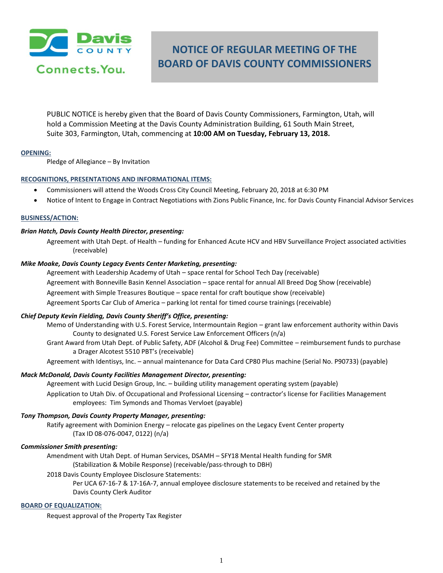

# **NOTICE OF REGULAR MEETING OF THE BOARD OF DAVIS COUNTY COMMISSIONERS**

PUBLIC NOTICE is hereby given that the Board of Davis County Commissioners, Farmington, Utah, will hold a Commission Meeting at the Davis County Administration Building, 61 South Main Street, Suite 303, Farmington, Utah, commencing at **10:00 AM on Tuesday, February 13, 2018.**

# **OPENING:**

Pledge of Allegiance – By Invitation

# **RECOGNITIONS, PRESENTATIONS AND INFORMATIONAL ITEMS:**

- Commissioners will attend the Woods Cross City Council Meeting, February 20, 2018 at 6:30 PM
- Notice of Intent to Engage in Contract Negotiations with Zions Public Finance, Inc. for Davis County Financial Advisor Services

# **BUSINESS/ACTION:**

#### *Brian Hatch, Davis County Health Director, presenting:*

Agreement with Utah Dept. of Health – funding for Enhanced Acute HCV and HBV Surveillance Project associated activities (receivable)

#### *Mike Moake, Davis County Legacy Events Center Marketing, presenting:*

Agreement with Leadership Academy of Utah – space rental for School Tech Day (receivable) Agreement with Bonneville Basin Kennel Association – space rental for annual All Breed Dog Show (receivable) Agreement with Simple Treasures Boutique – space rental for craft boutique show (receivable) Agreement Sports Car Club of America – parking lot rental for timed course trainings (receivable)

# *Chief Deputy Kevin Fielding, Davis County Sheriff's Office, presenting:*

Memo of Understanding with U.S. Forest Service, Intermountain Region – grant law enforcement authority within Davis County to designated U.S. Forest Service Law Enforcement Officers (n/a)

Grant Award from Utah Dept. of Public Safety, ADF (Alcohol & Drug Fee) Committee – reimbursement funds to purchase a Drager Alcotest 5510 PBT's (receivable)

Agreement with Identisys, Inc. – annual maintenance for Data Card CP80 Plus machine (Serial No. P90733) (payable)

#### *Mack McDonald, Davis County Facilities Management Director, presenting:*

Agreement with Lucid Design Group, Inc. – building utility management operating system (payable)

Application to Utah Div. of Occupational and Professional Licensing – contractor's license for Facilities Management employees: Tim Symonds and Thomas Vervloet (payable)

#### *Tony Thompson, Davis County Property Manager, presenting:*

Ratify agreement with Dominion Energy – relocate gas pipelines on the Legacy Event Center property (Tax ID 08-076-0047, 0122) (n/a)

#### *Commissioner Smith presenting:*

Amendment with Utah Dept. of Human Services, DSAMH – SFY18 Mental Health funding for SMR (Stabilization & Mobile Response) (receivable/pass-through to DBH)

2018 Davis County Employee Disclosure Statements:

Per UCA 67-16-7 & 17-16A-7, annual employee disclosure statements to be received and retained by the Davis County Clerk Auditor

# **BOARD OF EQUALIZATION:**

Request approval of the Property Tax Register